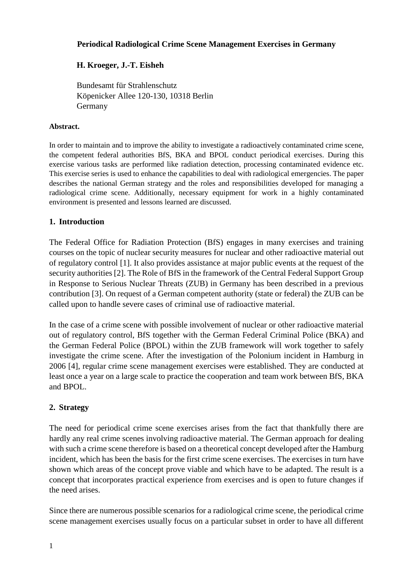### **Periodical Radiological Crime Scene Management Exercises in Germany**

# **H. Kroeger, J.-T. Eisheh**

Bundesamt für Strahlenschutz Köpenicker Allee 120-130, 10318 Berlin Germany

### **Abstract.**

In order to maintain and to improve the ability to investigate a radioactively contaminated crime scene, the competent federal authorities BfS, BKA and BPOL conduct periodical exercises. During this exercise various tasks are performed like radiation detection, processing contaminated evidence etc. This exercise series is used to enhance the capabilities to deal with radiological emergencies. The paper describes the national German strategy and the roles and responsibilities developed for managing a radiological crime scene. Additionally, necessary equipment for work in a highly contaminated environment is presented and lessons learned are discussed.

## **1. Introduction**

The Federal Office for Radiation Protection (BfS) engages in many exercises and training courses on the topic of nuclear security measures for nuclear and other radioactive material out of regulatory control [1]. It also provides assistance at major public events at the request of the security authorities [2]. The Role of BfS in the framework of the Central Federal Support Group in Response to Serious Nuclear Threats (ZUB) in Germany has been described in a previous contribution [3]. On request of a German competent authority (state or federal) the ZUB can be called upon to handle severe cases of criminal use of radioactive material.

In the case of a crime scene with possible involvement of nuclear or other radioactive material out of regulatory control, BfS together with the German Federal Criminal Police (BKA) and the German Federal Police (BPOL) within the ZUB framework will work together to safely investigate the crime scene. After the investigation of the Polonium incident in Hamburg in 2006 [4], regular crime scene management exercises were established. They are conducted at least once a year on a large scale to practice the cooperation and team work between BfS, BKA and BPOL.

# **2. Strategy**

The need for periodical crime scene exercises arises from the fact that thankfully there are hardly any real crime scenes involving radioactive material. The German approach for dealing with such a crime scene therefore is based on a theoretical concept developed after the Hamburg incident, which has been the basis for the first crime scene exercises. The exercises in turn have shown which areas of the concept prove viable and which have to be adapted. The result is a concept that incorporates practical experience from exercises and is open to future changes if the need arises.

Since there are numerous possible scenarios for a radiological crime scene, the periodical crime scene management exercises usually focus on a particular subset in order to have all different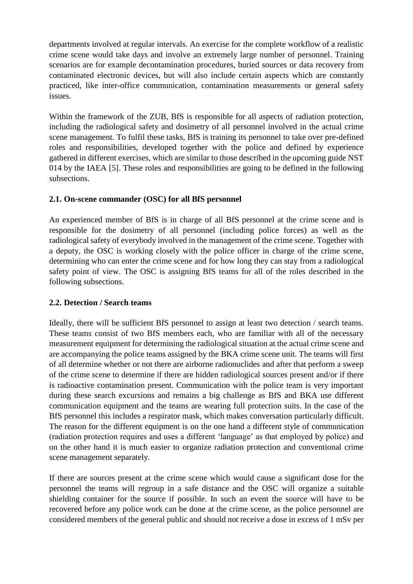departments involved at regular intervals. An exercise for the complete workflow of a realistic crime scene would take days and involve an extremely large number of personnel. Training scenarios are for example decontamination procedures, buried sources or data recovery from contaminated electronic devices, but will also include certain aspects which are constantly practiced, like inter-office communication, contamination measurements or general safety issues.

Within the framework of the ZUB, BfS is responsible for all aspects of radiation protection, including the radiological safety and dosimetry of all personnel involved in the actual crime scene management. To fulfil these tasks, BfS is training its personnel to take over pre-defined roles and responsibilities, developed together with the police and defined by experience gathered in different exercises, which are similar to those described in the upcoming guide NST 014 by the IAEA [5]. These roles and responsibilities are going to be defined in the following subsections.

## **2.1. On-scene commander (OSC) for all BfS personnel**

An experienced member of BfS is in charge of all BfS personnel at the crime scene and is responsible for the dosimetry of all personnel (including police forces) as well as the radiological safety of everybody involved in the management of the crime scene. Together with a deputy, the OSC is working closely with the police officer in charge of the crime scene, determining who can enter the crime scene and for how long they can stay from a radiological safety point of view. The OSC is assigning BfS teams for all of the roles described in the following subsections.

### **2.2. Detection / Search teams**

Ideally, there will be sufficient BfS personnel to assign at least two detection / search teams. These teams consist of two BfS members each, who are familiar with all of the necessary measurement equipment for determining the radiological situation at the actual crime scene and are accompanying the police teams assigned by the BKA crime scene unit. The teams will first of all determine whether or not there are airborne radionuclides and after that perform a sweep of the crime scene to determine if there are hidden radiological sources present and/or if there is radioactive contamination present. Communication with the police team is very important during these search excursions and remains a big challenge as BfS and BKA use different communication equipment and the teams are wearing full protection suits. In the case of the BfS personnel this includes a respirator mask, which makes conversation particularly difficult. The reason for the different equipment is on the one hand a different style of communication (radiation protection requires and uses a different 'language' as that employed by police) and on the other hand it is much easier to organize radiation protection and conventional crime scene management separately.

If there are sources present at the crime scene which would cause a significant dose for the personnel the teams will regroup in a safe distance and the OSC will organize a suitable shielding container for the source if possible. In such an event the source will have to be recovered before any police work can be done at the crime scene, as the police personnel are considered members of the general public and should not receive a dose in excess of 1 mSv per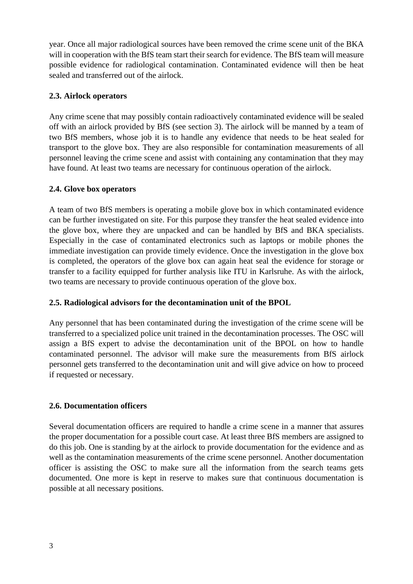year. Once all major radiological sources have been removed the crime scene unit of the BKA will in cooperation with the BfS team start their search for evidence. The BfS team will measure possible evidence for radiological contamination. Contaminated evidence will then be heat sealed and transferred out of the airlock.

## **2.3. Airlock operators**

Any crime scene that may possibly contain radioactively contaminated evidence will be sealed off with an airlock provided by BfS (see section 3). The airlock will be manned by a team of two BfS members, whose job it is to handle any evidence that needs to be heat sealed for transport to the glove box. They are also responsible for contamination measurements of all personnel leaving the crime scene and assist with containing any contamination that they may have found. At least two teams are necessary for continuous operation of the airlock.

## **2.4. Glove box operators**

A team of two BfS members is operating a mobile glove box in which contaminated evidence can be further investigated on site. For this purpose they transfer the heat sealed evidence into the glove box, where they are unpacked and can be handled by BfS and BKA specialists. Especially in the case of contaminated electronics such as laptops or mobile phones the immediate investigation can provide timely evidence. Once the investigation in the glove box is completed, the operators of the glove box can again heat seal the evidence for storage or transfer to a facility equipped for further analysis like ITU in Karlsruhe. As with the airlock, two teams are necessary to provide continuous operation of the glove box.

# **2.5. Radiological advisors for the decontamination unit of the BPOL**

Any personnel that has been contaminated during the investigation of the crime scene will be transferred to a specialized police unit trained in the decontamination processes. The OSC will assign a BfS expert to advise the decontamination unit of the BPOL on how to handle contaminated personnel. The advisor will make sure the measurements from BfS airlock personnel gets transferred to the decontamination unit and will give advice on how to proceed if requested or necessary.

# **2.6. Documentation officers**

Several documentation officers are required to handle a crime scene in a manner that assures the proper documentation for a possible court case. At least three BfS members are assigned to do this job. One is standing by at the airlock to provide documentation for the evidence and as well as the contamination measurements of the crime scene personnel. Another documentation officer is assisting the OSC to make sure all the information from the search teams gets documented. One more is kept in reserve to makes sure that continuous documentation is possible at all necessary positions.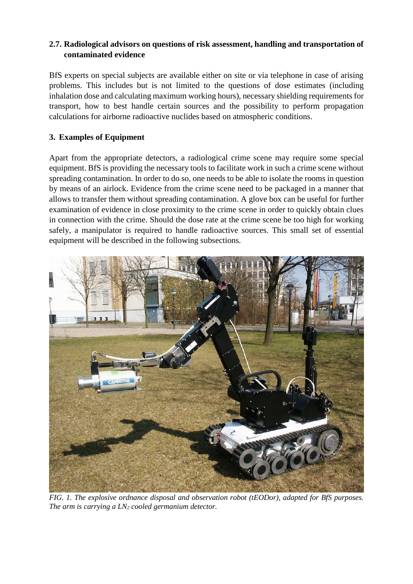## **2.7. Radiological advisors on questions of risk assessment, handling and transportation of contaminated evidence**

BfS experts on special subjects are available either on site or via telephone in case of arising problems. This includes but is not limited to the questions of dose estimates (including inhalation dose and calculating maximum working hours), necessary shielding requirements for transport, how to best handle certain sources and the possibility to perform propagation calculations for airborne radioactive nuclides based on atmospheric conditions.

## **3. Examples of Equipment**

Apart from the appropriate detectors, a radiological crime scene may require some special equipment. BfS is providing the necessary tools to facilitate work in such a crime scene without spreading contamination. In order to do so, one needs to be able to isolate the rooms in question by means of an airlock. Evidence from the crime scene need to be packaged in a manner that allows to transfer them without spreading contamination. A glove box can be useful for further examination of evidence in close proximity to the crime scene in order to quickly obtain clues in connection with the crime. Should the dose rate at the crime scene be too high for working safely, a manipulator is required to handle radioactive sources. This small set of essential equipment will be described in the following subsections.



*FIG. 1. The explosive ordnance disposal and observation robot (tEODor), adapted for BfS purposes. The arm is carrying a LN<sup>2</sup> cooled germanium detector.*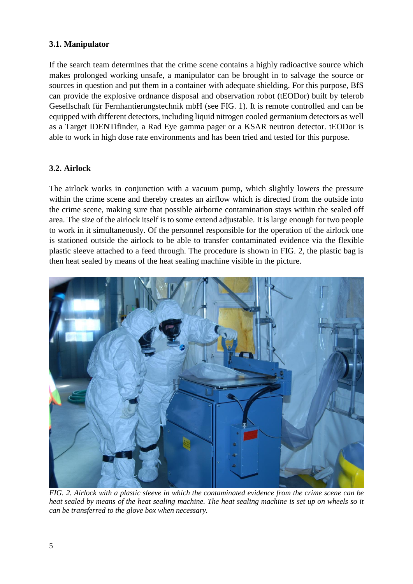## **3.1. Manipulator**

If the search team determines that the crime scene contains a highly radioactive source which makes prolonged working unsafe, a manipulator can be brought in to salvage the source or sources in question and put them in a container with adequate shielding. For this purpose, BfS can provide the explosive ordnance disposal and observation robot (tEODor) built by telerob Gesellschaft für Fernhantierungstechnik mbH (see FIG. 1). It is remote controlled and can be equipped with different detectors, including liquid nitrogen cooled germanium detectors as well as a Target IDENTifinder, a Rad Eye gamma pager or a KSAR neutron detector. tEODor is able to work in high dose rate environments and has been tried and tested for this purpose.

### **3.2. Airlock**

The airlock works in conjunction with a vacuum pump, which slightly lowers the pressure within the crime scene and thereby creates an airflow which is directed from the outside into the crime scene, making sure that possible airborne contamination stays within the sealed off area. The size of the airlock itself is to some extend adjustable. It is large enough for two people to work in it simultaneously. Of the personnel responsible for the operation of the airlock one is stationed outside the airlock to be able to transfer contaminated evidence via the flexible plastic sleeve attached to a feed through. The procedure is shown in FIG. 2, the plastic bag is then heat sealed by means of the heat sealing machine visible in the picture.



*FIG. 2. Airlock with a plastic sleeve in which the contaminated evidence from the crime scene can be heat sealed by means of the heat sealing machine. The heat sealing machine is set up on wheels so it can be transferred to the glove box when necessary.*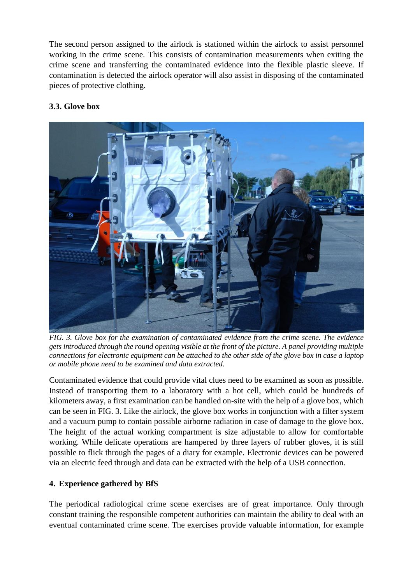The second person assigned to the airlock is stationed within the airlock to assist personnel working in the crime scene. This consists of contamination measurements when exiting the crime scene and transferring the contaminated evidence into the flexible plastic sleeve. If contamination is detected the airlock operator will also assist in disposing of the contaminated pieces of protective clothing.

## **3.3. Glove box**



*FIG. 3. Glove box for the examination of contaminated evidence from the crime scene. The evidence gets introduced through the round opening visible at the front of the picture. A panel providing multiple connections for electronic equipment can be attached to the other side of the glove box in case a laptop or mobile phone need to be examined and data extracted.*

Contaminated evidence that could provide vital clues need to be examined as soon as possible. Instead of transporting them to a laboratory with a hot cell, which could be hundreds of kilometers away, a first examination can be handled on-site with the help of a glove box, which can be seen in FIG. 3. Like the airlock, the glove box works in conjunction with a filter system and a vacuum pump to contain possible airborne radiation in case of damage to the glove box. The height of the actual working compartment is size adjustable to allow for comfortable working. While delicate operations are hampered by three layers of rubber gloves, it is still possible to flick through the pages of a diary for example. Electronic devices can be powered via an electric feed through and data can be extracted with the help of a USB connection.

### **4. Experience gathered by BfS**

The periodical radiological crime scene exercises are of great importance. Only through constant training the responsible competent authorities can maintain the ability to deal with an eventual contaminated crime scene. The exercises provide valuable information, for example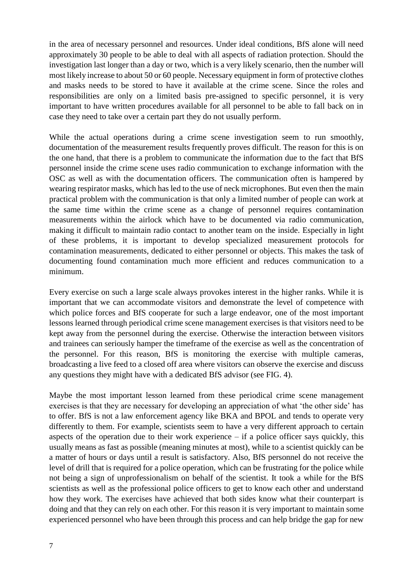in the area of necessary personnel and resources. Under ideal conditions, BfS alone will need approximately 30 people to be able to deal with all aspects of radiation protection. Should the investigation last longer than a day or two, which is a very likely scenario, then the number will most likely increase to about 50 or 60 people. Necessary equipment in form of protective clothes and masks needs to be stored to have it available at the crime scene. Since the roles and responsibilities are only on a limited basis pre-assigned to specific personnel, it is very important to have written procedures available for all personnel to be able to fall back on in case they need to take over a certain part they do not usually perform.

While the actual operations during a crime scene investigation seem to run smoothly, documentation of the measurement results frequently proves difficult. The reason for this is on the one hand, that there is a problem to communicate the information due to the fact that BfS personnel inside the crime scene uses radio communication to exchange information with the OSC as well as with the documentation officers. The communication often is hampered by wearing respirator masks, which has led to the use of neck microphones. But even then the main practical problem with the communication is that only a limited number of people can work at the same time within the crime scene as a change of personnel requires contamination measurements within the airlock which have to be documented via radio communication, making it difficult to maintain radio contact to another team on the inside. Especially in light of these problems, it is important to develop specialized measurement protocols for contamination measurements, dedicated to either personnel or objects. This makes the task of documenting found contamination much more efficient and reduces communication to a minimum.

Every exercise on such a large scale always provokes interest in the higher ranks. While it is important that we can accommodate visitors and demonstrate the level of competence with which police forces and BfS cooperate for such a large endeavor, one of the most important lessons learned through periodical crime scene management exercises is that visitors need to be kept away from the personnel during the exercise. Otherwise the interaction between visitors and trainees can seriously hamper the timeframe of the exercise as well as the concentration of the personnel. For this reason, BfS is monitoring the exercise with multiple cameras, broadcasting a live feed to a closed off area where visitors can observe the exercise and discuss any questions they might have with a dedicated BfS advisor (see FIG. 4).

Maybe the most important lesson learned from these periodical crime scene management exercises is that they are necessary for developing an appreciation of what 'the other side' has to offer. BfS is not a law enforcement agency like BKA and BPOL and tends to operate very differently to them. For example, scientists seem to have a very different approach to certain aspects of the operation due to their work experience  $-$  if a police officer says quickly, this usually means as fast as possible (meaning minutes at most), while to a scientist quickly can be a matter of hours or days until a result is satisfactory. Also, BfS personnel do not receive the level of drill that is required for a police operation, which can be frustrating for the police while not being a sign of unprofessionalism on behalf of the scientist. It took a while for the BfS scientists as well as the professional police officers to get to know each other and understand how they work. The exercises have achieved that both sides know what their counterpart is doing and that they can rely on each other. For this reason it is very important to maintain some experienced personnel who have been through this process and can help bridge the gap for new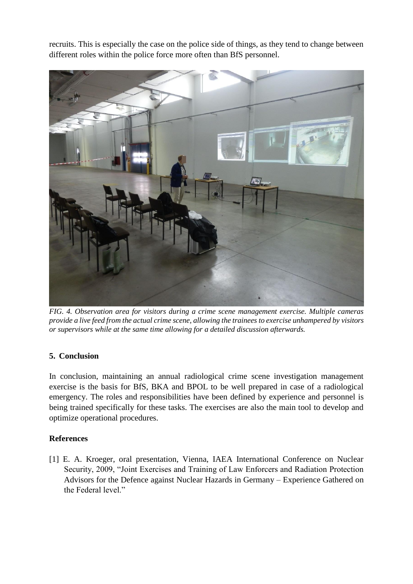recruits. This is especially the case on the police side of things, as they tend to change between different roles within the police force more often than BfS personnel.



*FIG. 4. Observation area for visitors during a crime scene management exercise. Multiple cameras provide a live feed from the actual crime scene, allowing the trainees to exercise unhampered by visitors or supervisors while at the same time allowing for a detailed discussion afterwards.*

### **5. Conclusion**

In conclusion, maintaining an annual radiological crime scene investigation management exercise is the basis for BfS, BKA and BPOL to be well prepared in case of a radiological emergency. The roles and responsibilities have been defined by experience and personnel is being trained specifically for these tasks. The exercises are also the main tool to develop and optimize operational procedures.

### **References**

[1] E. A. Kroeger, oral presentation, Vienna, IAEA International Conference on Nuclear Security, 2009, "Joint Exercises and Training of Law Enforcers and Radiation Protection Advisors for the Defence against Nuclear Hazards in Germany – Experience Gathered on the Federal level."